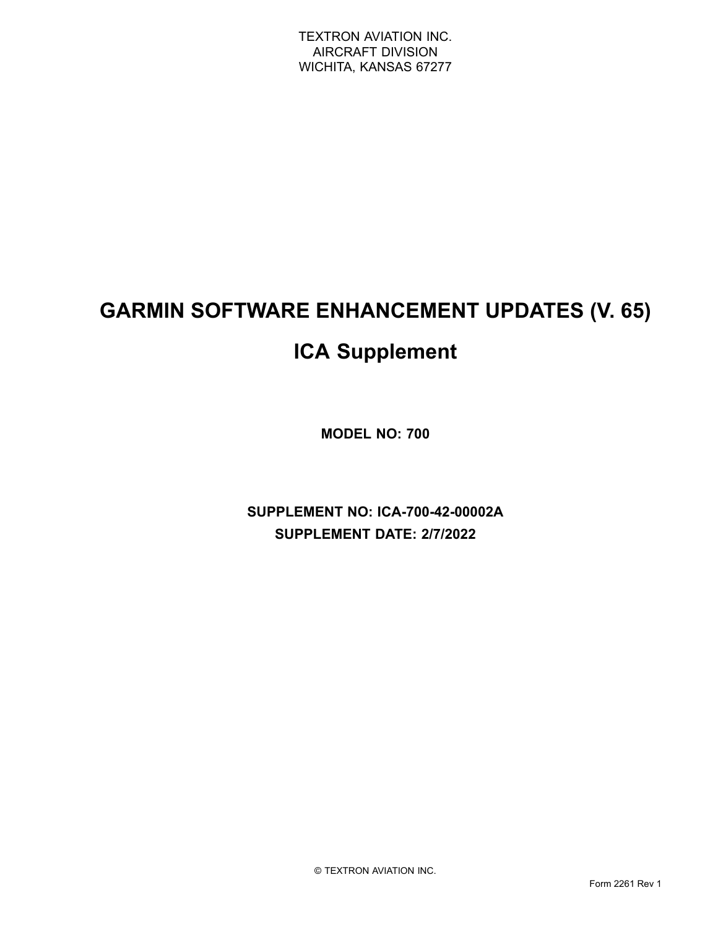# **GARMIN SOFTWARE ENHANCEMENT UPDATES (V. 65)**

## **ICA Supplement**

**MODEL NO: 700**

**SUPPLEMENT NO: ICA-700-42-00002A SUPPLEMENT DATE: 2/7/2022**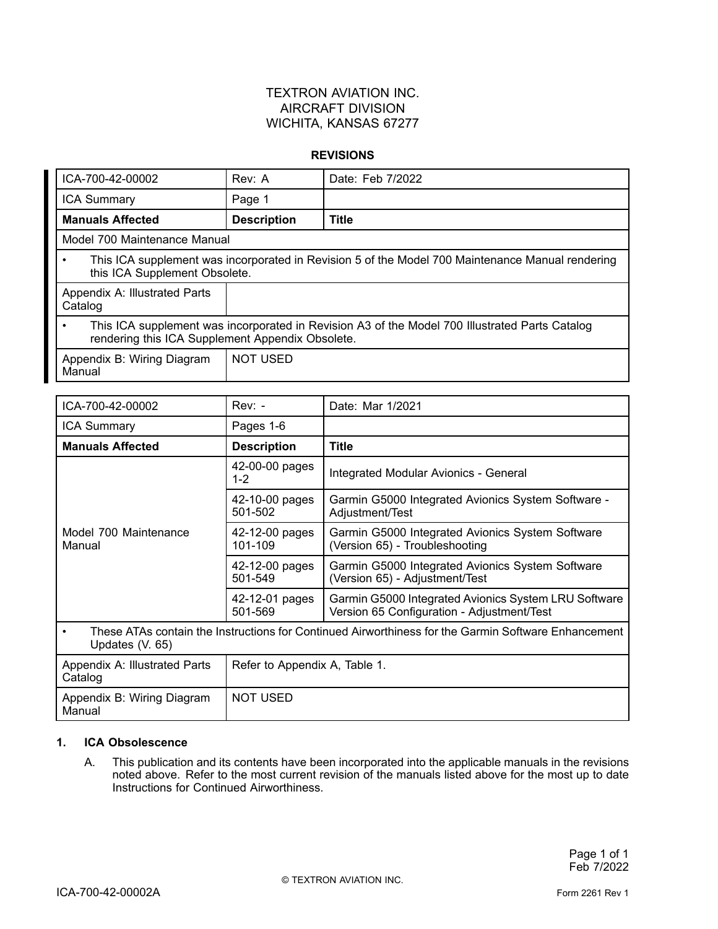#### **REVISIONS**

| ICA-700-42-00002                                                                                                                                   | Rev: A             | Date: Feb 7/2022 |  |
|----------------------------------------------------------------------------------------------------------------------------------------------------|--------------------|------------------|--|
| <b>ICA Summary</b>                                                                                                                                 | Page 1             |                  |  |
| <b>Manuals Affected</b>                                                                                                                            | <b>Description</b> | <b>Title</b>     |  |
| Model 700 Maintenance Manual                                                                                                                       |                    |                  |  |
| This ICA supplement was incorporated in Revision 5 of the Model 700 Maintenance Manual rendering<br>this ICA Supplement Obsolete.                  |                    |                  |  |
| Appendix A: Illustrated Parts<br>Catalog                                                                                                           |                    |                  |  |
| This ICA supplement was incorporated in Revision A3 of the Model 700 Illustrated Parts Catalog<br>rendering this ICA Supplement Appendix Obsolete. |                    |                  |  |
| Appendix B: Wiring Diagram<br>Manual                                                                                                               | <b>NOT USED</b>    |                  |  |

| ICA-700-42-00002                                                                                                       | $Rev: -$                      | Date: Mar 1/2021                                                                                   |
|------------------------------------------------------------------------------------------------------------------------|-------------------------------|----------------------------------------------------------------------------------------------------|
| <b>ICA Summary</b>                                                                                                     | Pages 1-6                     |                                                                                                    |
| <b>Manuals Affected</b>                                                                                                | <b>Description</b>            | <b>Title</b>                                                                                       |
| Model 700 Maintenance<br>Manual                                                                                        | 42-00-00 pages<br>$1 - 2$     | Integrated Modular Avionics - General                                                              |
|                                                                                                                        | 42-10-00 pages<br>501-502     | Garmin G5000 Integrated Avionics System Software -<br>Adjustment/Test                              |
|                                                                                                                        | 42-12-00 pages<br>101-109     | Garmin G5000 Integrated Avionics System Software<br>(Version 65) - Troubleshooting                 |
|                                                                                                                        | 42-12-00 pages<br>501-549     | Garmin G5000 Integrated Avionics System Software<br>(Version 65) - Adjustment/Test                 |
|                                                                                                                        | 42-12-01 pages<br>501-569     | Garmin G5000 Integrated Avionics System LRU Software<br>Version 65 Configuration - Adjustment/Test |
| These ATAs contain the Instructions for Continued Airworthiness for the Garmin Software Enhancement<br>Updates (V. 65) |                               |                                                                                                    |
| Appendix A: Illustrated Parts<br>Catalog                                                                               | Refer to Appendix A, Table 1. |                                                                                                    |
| Appendix B: Wiring Diagram<br>Manual                                                                                   | <b>NOT USED</b>               |                                                                                                    |

#### **1. ICA Obsolescence**

A. This publication and its contents have been incorporated into the applicable manuals in the revisions noted above. Refer to the most current revision of the manuals listed above for the most up to date Instructions for Continued Airworthiness.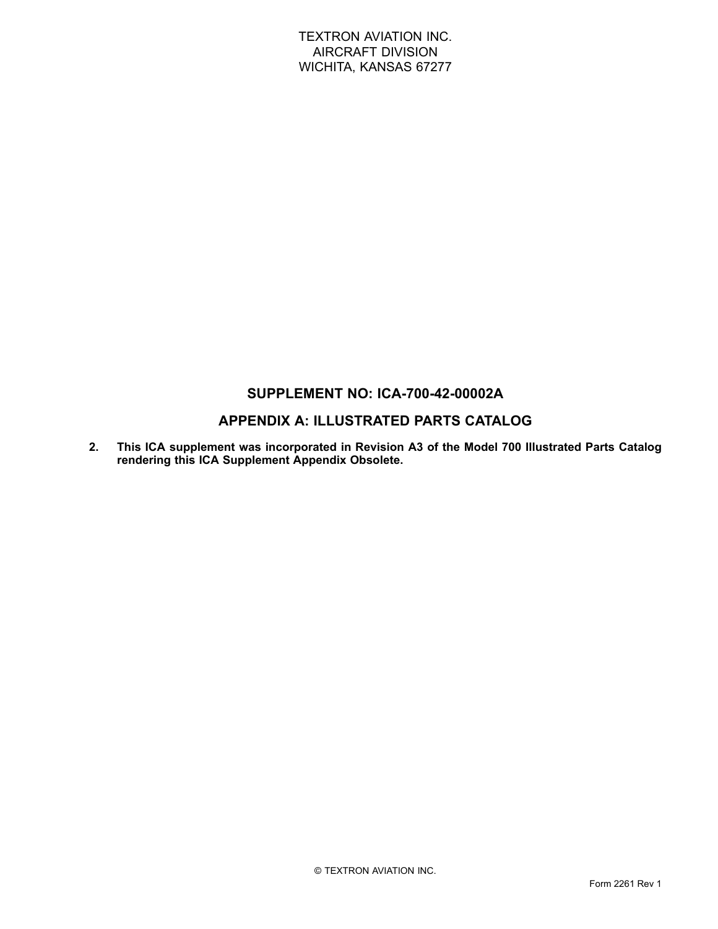## **SUPPLEMENT NO: ICA-700-42-00002A**

## **APPENDIX A: ILLUSTRATED PARTS CATALOG**

**2. This ICA supplement was incorporated in Revision A3 of the Model 700 Illustrated Parts Catalog rendering this ICA Supplement Appendix Obsolete.**